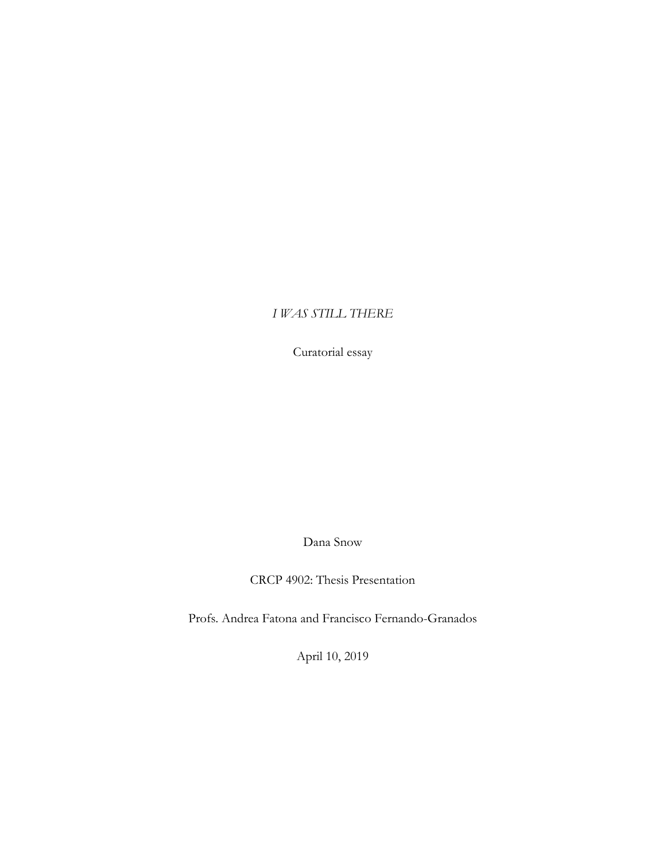## *I WAS STILL THERE*

Curatorial essay

Dana Snow

CRCP 4902: Thesis Presentation

Profs. Andrea Fatona and Francisco Fernando-Granados

April 10, 2019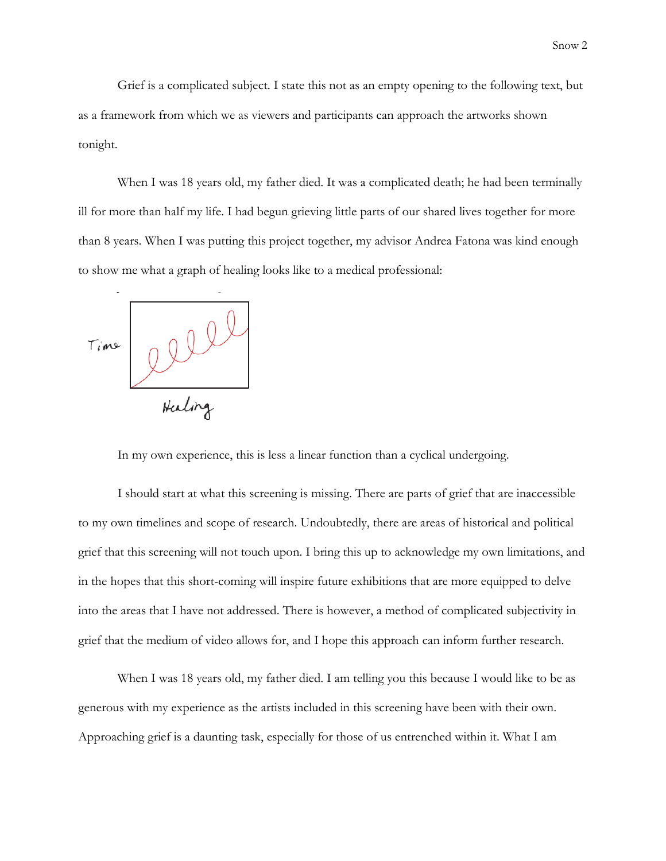Grief is a complicated subject. I state this not as an empty opening to the following text, but as a framework from which we as viewers and participants can approach the artworks shown tonight.

When I was 18 years old, my father died. It was a complicated death; he had been terminally ill for more than half my life. I had begun grieving little parts of our shared lives together for more than 8 years. When I was putting this project together, my advisor Andrea Fatona was kind enough to show me what a graph of healing looks like to a medical professional:



In my own experience, this is less a linear function than a cyclical undergoing.

I should start at what this screening is missing. There are parts of grief that are inaccessible to my own timelines and scope of research. Undoubtedly, there are areas of historical and political grief that this screening will not touch upon. I bring this up to acknowledge my own limitations, and in the hopes that this short-coming will inspire future exhibitions that are more equipped to delve into the areas that I have not addressed. There is however, a method of complicated subjectivity in grief that the medium of video allows for, and I hope this approach can inform further research.

When I was 18 years old, my father died. I am telling you this because I would like to be as generous with my experience as the artists included in this screening have been with their own. Approaching grief is a daunting task, especially for those of us entrenched within it. What I am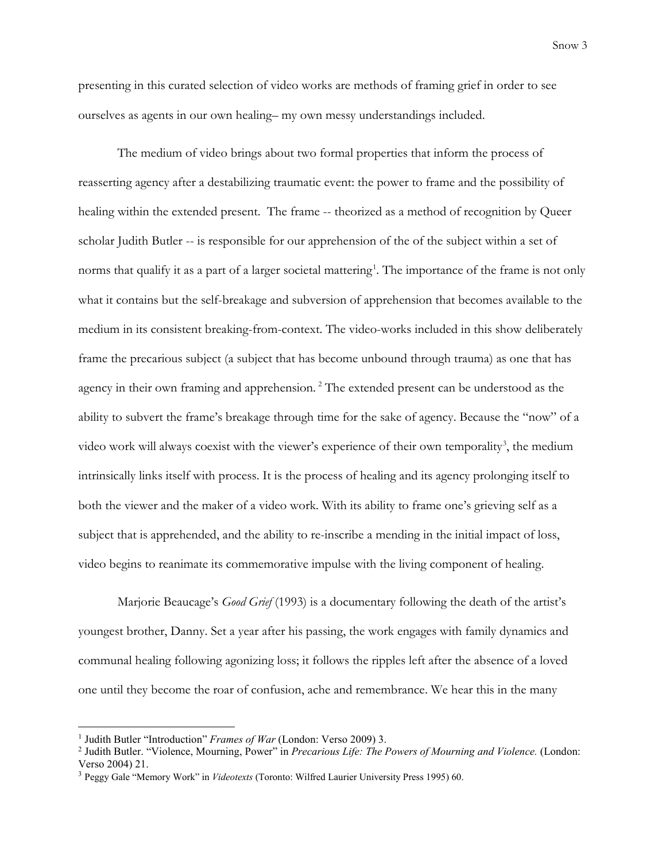presenting in this curated selection of video works are methods of framing grief in order to see ourselves as agents in our own healing– my own messy understandings included.

The medium of video brings about two formal properties that inform the process of reasserting agency after a destabilizing traumatic event: the power to frame and the possibility of healing within the extended present. The frame -- theorized as a method of recognition by Queer scholar Judith Butler -- is responsible for our apprehension of the of the subject within a set of norms that qualify it as a part of a larger societal mattering<sup>[1](#page-2-0)</sup>. The importance of the frame is not only what it contains but the self-breakage and subversion of apprehension that becomes available to the medium in its consistent breaking-from-context. The video-works included in this show deliberately frame the precarious subject (a subject that has become unbound through trauma) as one that has agency in their own framing and apprehension.<sup>[2](#page-2-1)</sup> The extended present can be understood as the ability to subvert the frame's breakage through time for the sake of agency. Because the "now" of a video work will always coexist with the viewer's experience of their own temporality<sup>[3](#page-2-2)</sup>, the medium intrinsically links itself with process. It is the process of healing and its agency prolonging itself to both the viewer and the maker of a video work. With its ability to frame one's grieving self as a subject that is apprehended, and the ability to re-inscribe a mending in the initial impact of loss, video begins to reanimate its commemorative impulse with the living component of healing.

Marjorie Beaucage's *Good Grief* (1993) is a documentary following the death of the artist's youngest brother, Danny. Set a year after his passing, the work engages with family dynamics and communal healing following agonizing loss; it follows the ripples left after the absence of a loved one until they become the roar of confusion, ache and remembrance. We hear this in the many

l

<span id="page-2-0"></span><sup>1</sup> Judith Butler "Introduction" *Frames of War* (London: Verso 2009) 3.

<span id="page-2-1"></span><sup>2</sup> Judith Butler. "Violence, Mourning, Power" in *Precarious Life: The Powers of Mourning and Violence.* (London: Verso 2004) 21.

<span id="page-2-2"></span><sup>3</sup> Peggy Gale "Memory Work" in *Videotexts* (Toronto: Wilfred Laurier University Press 1995) 60.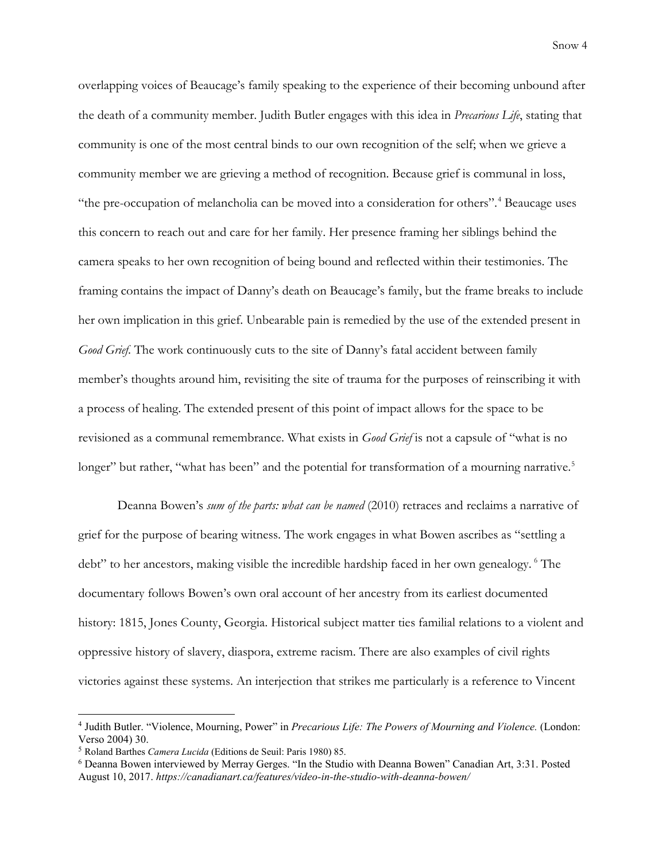overlapping voices of Beaucage's family speaking to the experience of their becoming unbound after the death of a community member. Judith Butler engages with this idea in *Precarious Life*, stating that community is one of the most central binds to our own recognition of the self; when we grieve a community member we are grieving a method of recognition. Because grief is communal in loss, "the pre-occupation of melancholia can be moved into a consideration for others". [4](#page-3-0) Beaucage uses this concern to reach out and care for her family. Her presence framing her siblings behind the camera speaks to her own recognition of being bound and reflected within their testimonies. The framing contains the impact of Danny's death on Beaucage's family, but the frame breaks to include her own implication in this grief. Unbearable pain is remedied by the use of the extended present in *Good Grief*. The work continuously cuts to the site of Danny's fatal accident between family member's thoughts around him, revisiting the site of trauma for the purposes of reinscribing it with a process of healing. The extended present of this point of impact allows for the space to be revisioned as a communal remembrance. What exists in *Good Grief* is not a capsule of "what is no longer" but rather, "what has been" and the potential for transformation of a mourning narrative.<sup>[5](#page-3-1)</sup>

Deanna Bowen's *sum of the parts: what can be named* (2010) retraces and reclaims a narrative of grief for the purpose of bearing witness. The work engages in what Bowen ascribes as "settling a debt" to her ancestors, making visible the incredible hardship faced in her own genealogy. <sup>[6](#page-3-2)</sup> The documentary follows Bowen's own oral account of her ancestry from its earliest documented history: 1815, Jones County, Georgia. Historical subject matter ties familial relations to a violent and oppressive history of slavery, diaspora, extreme racism. There are also examples of civil rights victories against these systems. An interjection that strikes me particularly is a reference to Vincent

 $\overline{\phantom{a}}$ 

<span id="page-3-0"></span><sup>4</sup> Judith Butler. "Violence, Mourning, Power" in *Precarious Life: The Powers of Mourning and Violence.* (London: Verso 2004) 30.

<span id="page-3-1"></span><sup>5</sup> Roland Barthes *Camera Lucida* (Editions de Seuil: Paris 1980) 85.

<span id="page-3-2"></span><sup>6</sup> Deanna Bowen interviewed by Merray Gerges. "In the Studio with Deanna Bowen" Canadian Art, 3:31. Posted August 10, 2017. *https://canadianart.ca/features/video-in-the-studio-with-deanna-bowen/*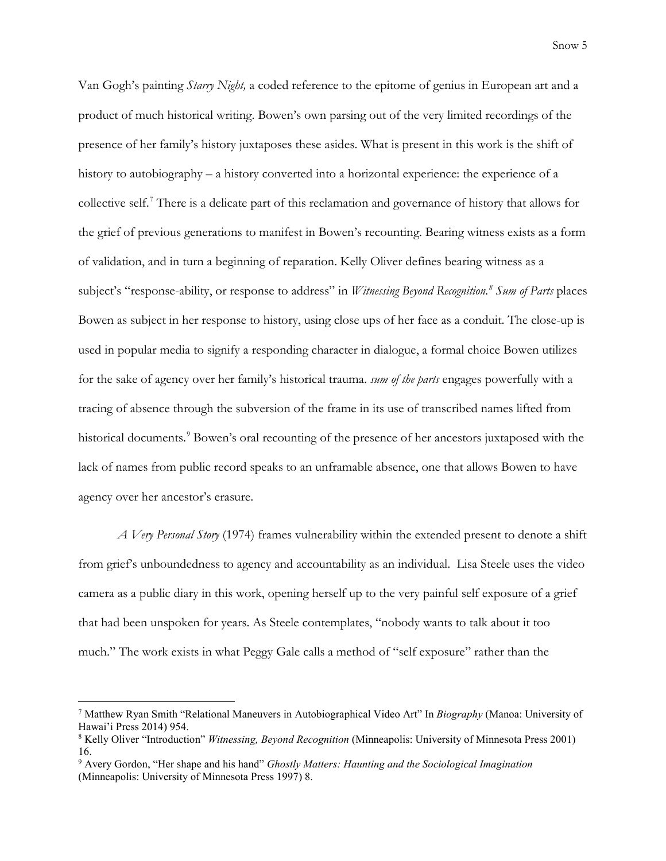Snow 5

Van Gogh's painting *Starry Night,* a coded reference to the epitome of genius in European art and a product of much historical writing. Bowen's own parsing out of the very limited recordings of the presence of her family's history juxtaposes these asides. What is present in this work is the shift of history to autobiography – a history converted into a horizontal experience: the experience of a collective self.[7](#page-4-0) There is a delicate part of this reclamation and governance of history that allows for the grief of previous generations to manifest in Bowen's recounting. Bearing witness exists as a form of validation, and in turn a beginning of reparation. Kelly Oliver defines bearing witness as a subject's "response-ability, or response to address" in *Witnessing Beyond Recognition.[8](#page-4-1) Sum of Parts* places Bowen as subject in her response to history, using close ups of her face as a conduit. The close-up is used in popular media to signify a responding character in dialogue, a formal choice Bowen utilizes for the sake of agency over her family's historical trauma. *sum of the parts* engages powerfully with a tracing of absence through the subversion of the frame in its use of transcribed names lifted from historical documents.<sup>[9](#page-4-2)</sup> Bowen's oral recounting of the presence of her ancestors juxtaposed with the lack of names from public record speaks to an unframable absence, one that allows Bowen to have agency over her ancestor's erasure.

*A Very Personal Story* (1974) frames vulnerability within the extended present to denote a shift from grief's unboundedness to agency and accountability as an individual. Lisa Steele uses the video camera as a public diary in this work, opening herself up to the very painful self exposure of a grief that had been unspoken for years. As Steele contemplates, "nobody wants to talk about it too much." The work exists in what Peggy Gale calls a method of "self exposure" rather than the

 $\overline{a}$ 

<span id="page-4-0"></span><sup>7</sup> Matthew Ryan Smith "Relational Maneuvers in Autobiographical Video Art" In *Biography* (Manoa: University of Hawai'i Press 2014) 954.

<span id="page-4-1"></span><sup>8</sup> Kelly Oliver "Introduction" *Witnessing, Beyond Recognition* (Minneapolis: University of Minnesota Press 2001) 16.

<span id="page-4-2"></span><sup>9</sup> Avery Gordon, "Her shape and his hand" *Ghostly Matters: Haunting and the Sociological Imagination* (Minneapolis: University of Minnesota Press 1997) 8.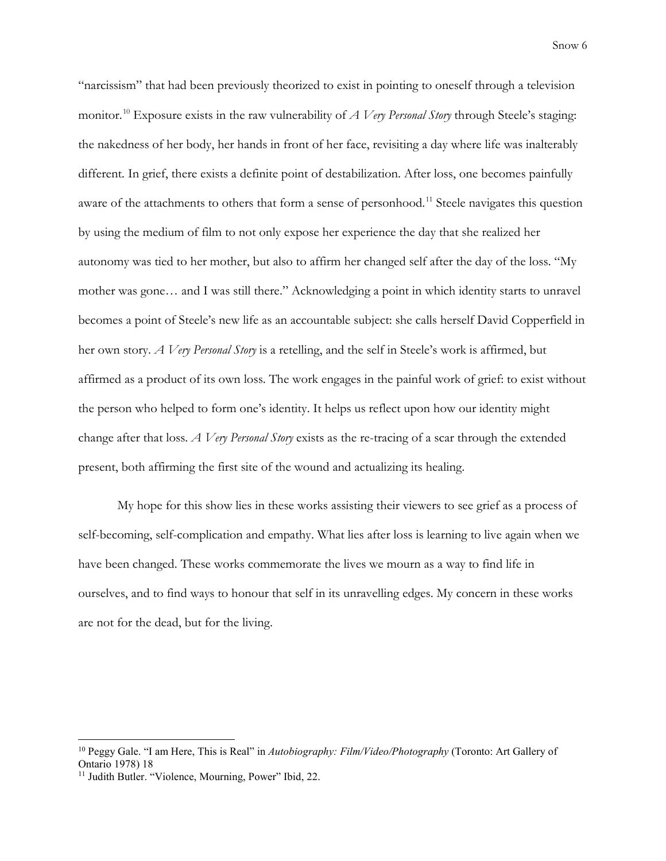Snow 6

"narcissism" that had been previously theorized to exist in pointing to oneself through a television monitor. [10](#page-5-0) Exposure exists in the raw vulnerability of *A Very Personal Story* through Steele's staging: the nakedness of her body, her hands in front of her face, revisiting a day where life was inalterably different. In grief, there exists a definite point of destabilization. After loss, one becomes painfully aware of the attachments to others that form a sense of personhood.<sup>[11](#page-5-1)</sup> Steele navigates this question by using the medium of film to not only expose her experience the day that she realized her autonomy was tied to her mother, but also to affirm her changed self after the day of the loss. "My mother was gone… and I was still there." Acknowledging a point in which identity starts to unravel becomes a point of Steele's new life as an accountable subject: she calls herself David Copperfield in her own story. *A Very Personal Story* is a retelling, and the self in Steele's work is affirmed, but affirmed as a product of its own loss. The work engages in the painful work of grief: to exist without the person who helped to form one's identity. It helps us reflect upon how our identity might change after that loss. *A Very Personal Story* exists as the re-tracing of a scar through the extended present, both affirming the first site of the wound and actualizing its healing.

My hope for this show lies in these works assisting their viewers to see grief as a process of self-becoming, self-complication and empathy. What lies after loss is learning to live again when we have been changed. These works commemorate the lives we mourn as a way to find life in ourselves, and to find ways to honour that self in its unravelling edges. My concern in these works are not for the dead, but for the living.

l

<span id="page-5-0"></span><sup>10</sup> Peggy Gale. "I am Here, This is Real" in *Autobiography: Film/Video/Photography* (Toronto: Art Gallery of Ontario 1978) 18

<span id="page-5-1"></span><sup>&</sup>lt;sup>11</sup> Judith Butler. "Violence, Mourning, Power" Ibid, 22.